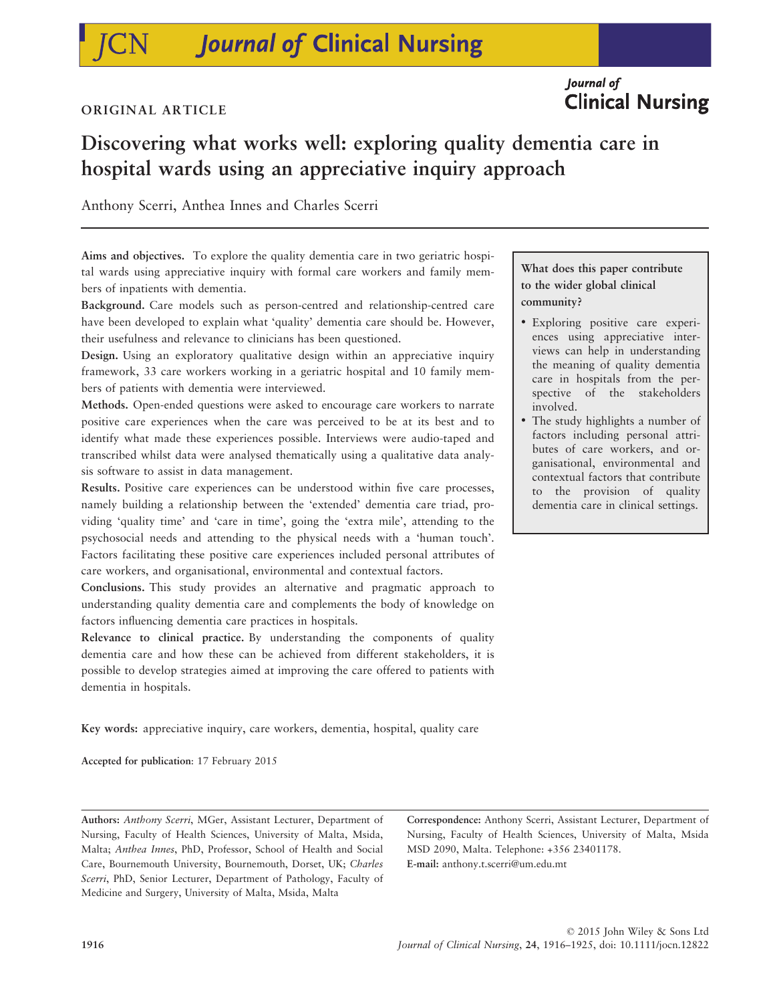# **Solution Setuber 10 Increme 10 Setuber 10 Incredent Setupe 10 Setupe 10 Incredent**

## ORIGINAL ARTICLE

## Journal of **Clinical Nursing**

## Discovering what works well: exploring quality dementia care in hospital wards using an appreciative inquiry approach

Anthony Scerri, Anthea Innes and Charles Scerri

Aims and objectives. To explore the quality dementia care in two geriatric hospital wards using appreciative inquiry with formal care workers and family members of inpatients with dementia.

Background. Care models such as person-centred and relationship-centred care have been developed to explain what 'quality' dementia care should be. However, their usefulness and relevance to clinicians has been questioned.

Design. Using an exploratory qualitative design within an appreciative inquiry framework, 33 care workers working in a geriatric hospital and 10 family members of patients with dementia were interviewed.

Methods. Open-ended questions were asked to encourage care workers to narrate positive care experiences when the care was perceived to be at its best and to identify what made these experiences possible. Interviews were audio-taped and transcribed whilst data were analysed thematically using a qualitative data analysis software to assist in data management.

Results. Positive care experiences can be understood within five care processes, namely building a relationship between the 'extended' dementia care triad, providing 'quality time' and 'care in time', going the 'extra mile', attending to the psychosocial needs and attending to the physical needs with a 'human touch'. Factors facilitating these positive care experiences included personal attributes of care workers, and organisational, environmental and contextual factors.

Conclusions. This study provides an alternative and pragmatic approach to understanding quality dementia care and complements the body of knowledge on factors influencing dementia care practices in hospitals.

Relevance to clinical practice. By understanding the components of quality dementia care and how these can be achieved from different stakeholders, it is possible to develop strategies aimed at improving the care offered to patients with dementia in hospitals.

Key words: appreciative inquiry, care workers, dementia, hospital, quality care

Accepted for publication: 17 February 2015

Authors: Anthony Scerri, MGer, Assistant Lecturer, Department of Nursing, Faculty of Health Sciences, University of Malta, Msida, Malta; Anthea Innes, PhD, Professor, School of Health and Social Care, Bournemouth University, Bournemouth, Dorset, UK; Charles Scerri, PhD, Senior Lecturer, Department of Pathology, Faculty of Medicine and Surgery, University of Malta, Msida, Malta

Correspondence: Anthony Scerri, Assistant Lecturer, Department of Nursing, Faculty of Health Sciences, University of Malta, Msida MSD 2090, Malta. Telephone: +356 23401178. E-mail: anthony.t.scerri@um.edu.mt

## What does this paper contribute to the wider global clinical community?

- Exploring positive care experiences using appreciative interviews can help in understanding the meaning of quality dementia care in hospitals from the perspective of the stakeholders involved.
- The study highlights a number of factors including personal attributes of care workers, and organisational, environmental and contextual factors that contribute to the provision of quality dementia care in clinical settings.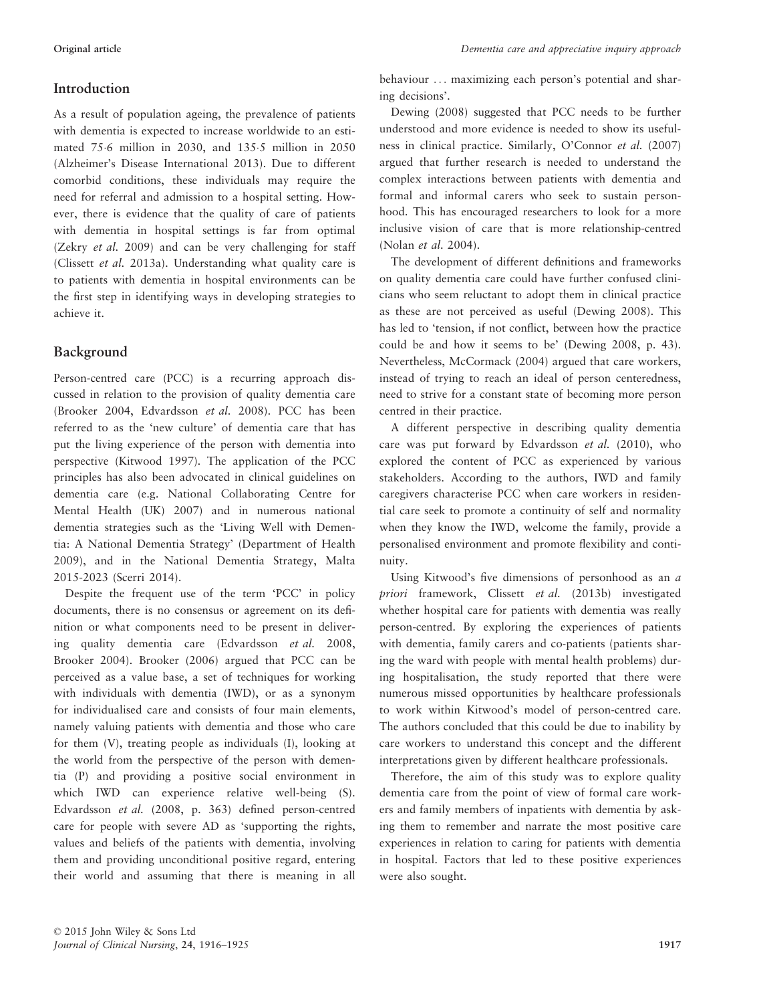## Introduction

As a result of population ageing, the prevalence of patients with dementia is expected to increase worldwide to an estimated 756 million in 2030, and 1355 million in 2050 (Alzheimer's Disease International 2013). Due to different comorbid conditions, these individuals may require the need for referral and admission to a hospital setting. However, there is evidence that the quality of care of patients with dementia in hospital settings is far from optimal (Zekry et al. 2009) and can be very challenging for staff (Clissett et al. 2013a). Understanding what quality care is to patients with dementia in hospital environments can be the first step in identifying ways in developing strategies to achieve it.

## Background

Person-centred care (PCC) is a recurring approach discussed in relation to the provision of quality dementia care (Brooker 2004, Edvardsson et al. 2008). PCC has been referred to as the 'new culture' of dementia care that has put the living experience of the person with dementia into perspective (Kitwood 1997). The application of the PCC principles has also been advocated in clinical guidelines on dementia care (e.g. National Collaborating Centre for Mental Health (UK) 2007) and in numerous national dementia strategies such as the 'Living Well with Dementia: A National Dementia Strategy' (Department of Health 2009), and in the National Dementia Strategy, Malta 2015-2023 (Scerri 2014).

Despite the frequent use of the term 'PCC' in policy documents, there is no consensus or agreement on its definition or what components need to be present in delivering quality dementia care (Edvardsson et al. 2008, Brooker 2004). Brooker (2006) argued that PCC can be perceived as a value base, a set of techniques for working with individuals with dementia (IWD), or as a synonym for individualised care and consists of four main elements, namely valuing patients with dementia and those who care for them (V), treating people as individuals (I), looking at the world from the perspective of the person with dementia (P) and providing a positive social environment in which IWD can experience relative well-being (S). Edvardsson et al. (2008, p. 363) defined person-centred care for people with severe AD as 'supporting the rights, values and beliefs of the patients with dementia, involving them and providing unconditional positive regard, entering their world and assuming that there is meaning in all behaviour ... maximizing each person's potential and sharing decisions'.

Dewing (2008) suggested that PCC needs to be further understood and more evidence is needed to show its usefulness in clinical practice. Similarly, O'Connor et al. (2007) argued that further research is needed to understand the complex interactions between patients with dementia and formal and informal carers who seek to sustain personhood. This has encouraged researchers to look for a more inclusive vision of care that is more relationship-centred (Nolan et al. 2004).

The development of different definitions and frameworks on quality dementia care could have further confused clinicians who seem reluctant to adopt them in clinical practice as these are not perceived as useful (Dewing 2008). This has led to 'tension, if not conflict, between how the practice could be and how it seems to be' (Dewing 2008, p. 43). Nevertheless, McCormack (2004) argued that care workers, instead of trying to reach an ideal of person centeredness, need to strive for a constant state of becoming more person centred in their practice.

A different perspective in describing quality dementia care was put forward by Edvardsson et al. (2010), who explored the content of PCC as experienced by various stakeholders. According to the authors, IWD and family caregivers characterise PCC when care workers in residential care seek to promote a continuity of self and normality when they know the IWD, welcome the family, provide a personalised environment and promote flexibility and continuity.

Using Kitwood's five dimensions of personhood as an a priori framework, Clissett et al. (2013b) investigated whether hospital care for patients with dementia was really person-centred. By exploring the experiences of patients with dementia, family carers and co-patients (patients sharing the ward with people with mental health problems) during hospitalisation, the study reported that there were numerous missed opportunities by healthcare professionals to work within Kitwood's model of person-centred care. The authors concluded that this could be due to inability by care workers to understand this concept and the different interpretations given by different healthcare professionals.

Therefore, the aim of this study was to explore quality dementia care from the point of view of formal care workers and family members of inpatients with dementia by asking them to remember and narrate the most positive care experiences in relation to caring for patients with dementia in hospital. Factors that led to these positive experiences were also sought.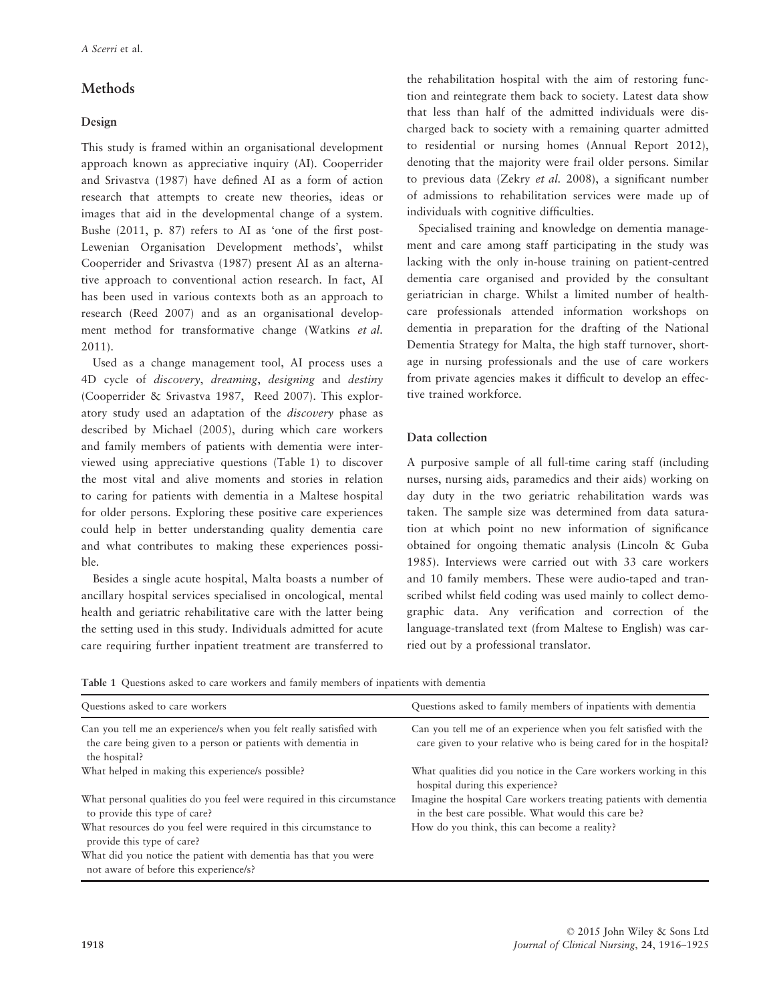## Methods

#### Design

This study is framed within an organisational development approach known as appreciative inquiry (AI). Cooperrider and Srivastva (1987) have defined AI as a form of action research that attempts to create new theories, ideas or images that aid in the developmental change of a system. Bushe (2011, p. 87) refers to AI as 'one of the first post-Lewenian Organisation Development methods', whilst Cooperrider and Srivastva (1987) present AI as an alternative approach to conventional action research. In fact, AI has been used in various contexts both as an approach to research (Reed 2007) and as an organisational development method for transformative change (Watkins et al. 2011).

Used as a change management tool, AI process uses a 4D cycle of discovery, dreaming, designing and destiny (Cooperrider & Srivastva 1987, Reed 2007). This exploratory study used an adaptation of the discovery phase as described by Michael (2005), during which care workers and family members of patients with dementia were interviewed using appreciative questions (Table 1) to discover the most vital and alive moments and stories in relation to caring for patients with dementia in a Maltese hospital for older persons. Exploring these positive care experiences could help in better understanding quality dementia care and what contributes to making these experiences possible.

Besides a single acute hospital, Malta boasts a number of ancillary hospital services specialised in oncological, mental health and geriatric rehabilitative care with the latter being the setting used in this study. Individuals admitted for acute care requiring further inpatient treatment are transferred to the rehabilitation hospital with the aim of restoring function and reintegrate them back to society. Latest data show that less than half of the admitted individuals were discharged back to society with a remaining quarter admitted to residential or nursing homes (Annual Report 2012), denoting that the majority were frail older persons. Similar to previous data (Zekry et al. 2008), a significant number of admissions to rehabilitation services were made up of individuals with cognitive difficulties.

Specialised training and knowledge on dementia management and care among staff participating in the study was lacking with the only in-house training on patient-centred dementia care organised and provided by the consultant geriatrician in charge. Whilst a limited number of healthcare professionals attended information workshops on dementia in preparation for the drafting of the National Dementia Strategy for Malta, the high staff turnover, shortage in nursing professionals and the use of care workers from private agencies makes it difficult to develop an effective trained workforce.

#### Data collection

A purposive sample of all full-time caring staff (including nurses, nursing aids, paramedics and their aids) working on day duty in the two geriatric rehabilitation wards was taken. The sample size was determined from data saturation at which point no new information of significance obtained for ongoing thematic analysis (Lincoln & Guba 1985). Interviews were carried out with 33 care workers and 10 family members. These were audio-taped and transcribed whilst field coding was used mainly to collect demographic data. Any verification and correction of the language-translated text (from Maltese to English) was carried out by a professional translator.

Table 1 Questions asked to care workers and family members of inpatients with dementia

| Questions asked to care workers                                                                                                                       | Questions asked to family members of inpatients with dementia                                                                            |
|-------------------------------------------------------------------------------------------------------------------------------------------------------|------------------------------------------------------------------------------------------------------------------------------------------|
| Can you tell me an experience/s when you felt really satisfied with<br>the care being given to a person or patients with dementia in<br>the hospital? | Can you tell me of an experience when you felt satisfied with the<br>care given to your relative who is being cared for in the hospital? |
| What helped in making this experience/s possible?                                                                                                     | What qualities did you notice in the Care workers working in this<br>hospital during this experience?                                    |
| What personal qualities do you feel were required in this circumstance<br>to provide this type of care?                                               | Imagine the hospital Care workers treating patients with dementia<br>in the best care possible. What would this care be?                 |
| What resources do you feel were required in this circumstance to<br>provide this type of care?                                                        | How do you think, this can become a reality?                                                                                             |
| What did you notice the patient with dementia has that you were<br>not aware of before this experience/s?                                             |                                                                                                                                          |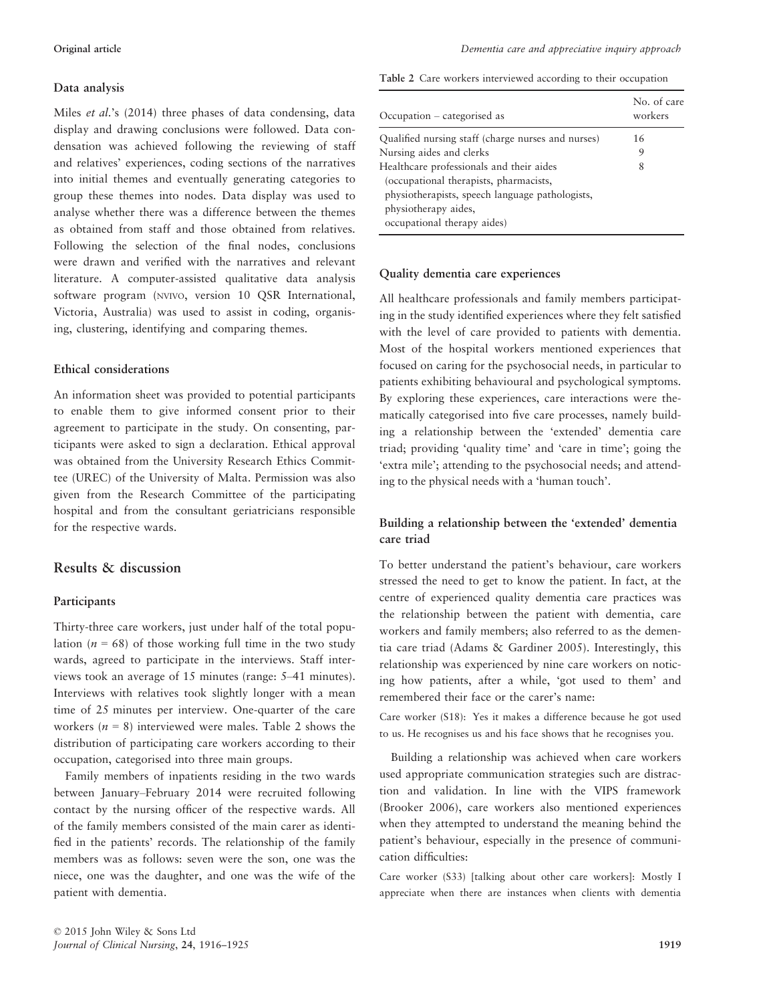### Data analysis

Miles et al.'s (2014) three phases of data condensing, data display and drawing conclusions were followed. Data condensation was achieved following the reviewing of staff and relatives' experiences, coding sections of the narratives into initial themes and eventually generating categories to group these themes into nodes. Data display was used to analyse whether there was a difference between the themes as obtained from staff and those obtained from relatives. Following the selection of the final nodes, conclusions were drawn and verified with the narratives and relevant literature. A computer-assisted qualitative data analysis software program (NVIVO, version 10 QSR International, Victoria, Australia) was used to assist in coding, organising, clustering, identifying and comparing themes.

#### Ethical considerations

An information sheet was provided to potential participants to enable them to give informed consent prior to their agreement to participate in the study. On consenting, participants were asked to sign a declaration. Ethical approval was obtained from the University Research Ethics Committee (UREC) of the University of Malta. Permission was also given from the Research Committee of the participating hospital and from the consultant geriatricians responsible for the respective wards.

## Results & discussion

#### Participants

Thirty-three care workers, just under half of the total population ( $n = 68$ ) of those working full time in the two study wards, agreed to participate in the interviews. Staff interviews took an average of 15 minutes (range: 5–41 minutes). Interviews with relatives took slightly longer with a mean time of 25 minutes per interview. One-quarter of the care workers ( $n = 8$ ) interviewed were males. Table 2 shows the distribution of participating care workers according to their occupation, categorised into three main groups.

Family members of inpatients residing in the two wards between January–February 2014 were recruited following contact by the nursing officer of the respective wards. All of the family members consisted of the main carer as identified in the patients' records. The relationship of the family members was as follows: seven were the son, one was the niece, one was the daughter, and one was the wife of the patient with dementia.

Table 2 Care workers interviewed according to their occupation

| Occupation – categorised as                                                                            | No. of care<br>workers |
|--------------------------------------------------------------------------------------------------------|------------------------|
| Qualified nursing staff (charge nurses and nurses)                                                     | 16                     |
| Nursing aides and clerks                                                                               | 9                      |
| Healthcare professionals and their aides<br>(occupational therapists, pharmacists,                     | 8                      |
| physiotherapists, speech language pathologists,<br>physiotherapy aides,<br>occupational therapy aides) |                        |

#### Quality dementia care experiences

All healthcare professionals and family members participating in the study identified experiences where they felt satisfied with the level of care provided to patients with dementia. Most of the hospital workers mentioned experiences that focused on caring for the psychosocial needs, in particular to patients exhibiting behavioural and psychological symptoms. By exploring these experiences, care interactions were thematically categorised into five care processes, namely building a relationship between the 'extended' dementia care triad; providing 'quality time' and 'care in time'; going the 'extra mile'; attending to the psychosocial needs; and attending to the physical needs with a 'human touch'.

## Building a relationship between the 'extended' dementia care triad

To better understand the patient's behaviour, care workers stressed the need to get to know the patient. In fact, at the centre of experienced quality dementia care practices was the relationship between the patient with dementia, care workers and family members; also referred to as the dementia care triad (Adams & Gardiner 2005). Interestingly, this relationship was experienced by nine care workers on noticing how patients, after a while, 'got used to them' and remembered their face or the carer's name:

Care worker (S18): Yes it makes a difference because he got used to us. He recognises us and his face shows that he recognises you.

Building a relationship was achieved when care workers used appropriate communication strategies such are distraction and validation. In line with the VIPS framework (Brooker 2006), care workers also mentioned experiences when they attempted to understand the meaning behind the patient's behaviour, especially in the presence of communication difficulties:

Care worker (S33) [talking about other care workers]: Mostly I appreciate when there are instances when clients with dementia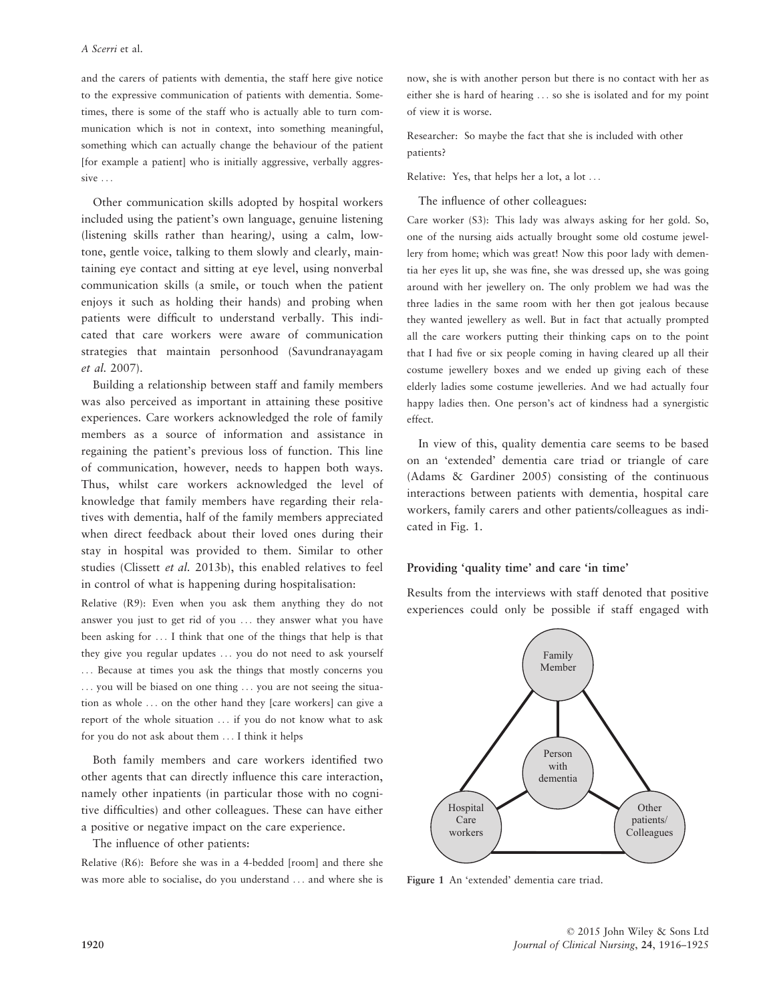and the carers of patients with dementia, the staff here give notice to the expressive communication of patients with dementia. Sometimes, there is some of the staff who is actually able to turn communication which is not in context, into something meaningful, something which can actually change the behaviour of the patient [for example a patient] who is initially aggressive, verbally aggressive ...

Other communication skills adopted by hospital workers included using the patient's own language, genuine listening (listening skills rather than hearing), using a calm, lowtone, gentle voice, talking to them slowly and clearly, maintaining eye contact and sitting at eye level, using nonverbal communication skills (a smile, or touch when the patient enjoys it such as holding their hands) and probing when patients were difficult to understand verbally. This indicated that care workers were aware of communication strategies that maintain personhood (Savundranayagam et al. 2007).

Building a relationship between staff and family members was also perceived as important in attaining these positive experiences. Care workers acknowledged the role of family members as a source of information and assistance in regaining the patient's previous loss of function. This line of communication, however, needs to happen both ways. Thus, whilst care workers acknowledged the level of knowledge that family members have regarding their relatives with dementia, half of the family members appreciated when direct feedback about their loved ones during their stay in hospital was provided to them. Similar to other studies (Clissett et al. 2013b), this enabled relatives to feel in control of what is happening during hospitalisation:

Relative (R9): Even when you ask them anything they do not answer you just to get rid of you ... they answer what you have been asking for ... I think that one of the things that help is that they give you regular updates ... you do not need to ask yourself ... Because at times you ask the things that mostly concerns you ... you will be biased on one thing ... you are not seeing the situation as whole ... on the other hand they [care workers] can give a report of the whole situation ... if you do not know what to ask for you do not ask about them ... I think it helps

Both family members and care workers identified two other agents that can directly influence this care interaction, namely other inpatients (in particular those with no cognitive difficulties) and other colleagues. These can have either a positive or negative impact on the care experience.

The influence of other patients:

Relative (R6): Before she was in a 4-bedded [room] and there she was more able to socialise, do you understand ... and where she is now, she is with another person but there is no contact with her as either she is hard of hearing ... so she is isolated and for my point of view it is worse.

Researcher: So maybe the fact that she is included with other patients?

Relative: Yes, that helps her a lot, a lot ...

The influence of other colleagues:

Care worker (S3): This lady was always asking for her gold. So, one of the nursing aids actually brought some old costume jewellery from home; which was great! Now this poor lady with dementia her eyes lit up, she was fine, she was dressed up, she was going around with her jewellery on. The only problem we had was the three ladies in the same room with her then got jealous because they wanted jewellery as well. But in fact that actually prompted all the care workers putting their thinking caps on to the point that I had five or six people coming in having cleared up all their costume jewellery boxes and we ended up giving each of these elderly ladies some costume jewelleries. And we had actually four happy ladies then. One person's act of kindness had a synergistic effect.

In view of this, quality dementia care seems to be based on an 'extended' dementia care triad or triangle of care (Adams & Gardiner 2005) consisting of the continuous interactions between patients with dementia, hospital care workers, family carers and other patients/colleagues as indicated in Fig. 1.

#### Providing 'quality time' and care 'in time'

Results from the interviews with staff denoted that positive experiences could only be possible if staff engaged with



Figure 1 An 'extended' dementia care triad.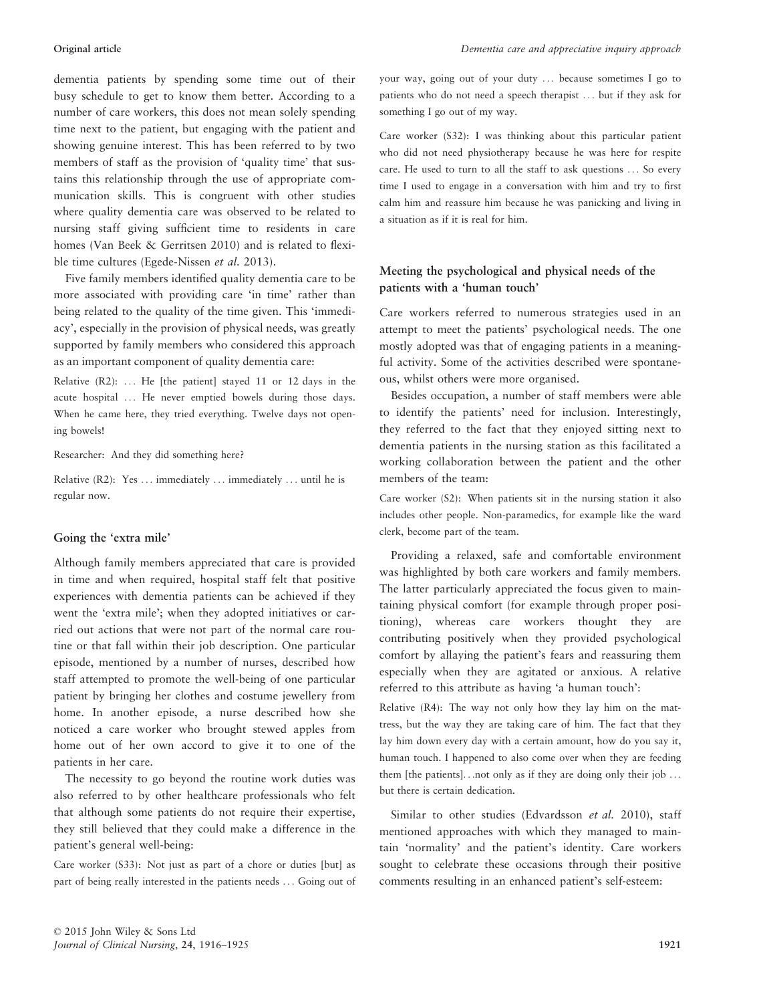dementia patients by spending some time out of their busy schedule to get to know them better. According to a number of care workers, this does not mean solely spending time next to the patient, but engaging with the patient and showing genuine interest. This has been referred to by two members of staff as the provision of 'quality time' that sustains this relationship through the use of appropriate communication skills. This is congruent with other studies where quality dementia care was observed to be related to nursing staff giving sufficient time to residents in care homes (Van Beek & Gerritsen 2010) and is related to flexible time cultures (Egede-Nissen et al. 2013).

Five family members identified quality dementia care to be more associated with providing care 'in time' rather than being related to the quality of the time given. This 'immediacy', especially in the provision of physical needs, was greatly supported by family members who considered this approach as an important component of quality dementia care:

Relative (R2): ... He [the patient] stayed 11 or 12 days in the acute hospital ... He never emptied bowels during those days. When he came here, they tried everything. Twelve days not opening bowels!

Researcher: And they did something here?

Relative (R2): Yes ... immediately ... immediately ... until he is regular now.

#### Going the 'extra mile'

Although family members appreciated that care is provided in time and when required, hospital staff felt that positive experiences with dementia patients can be achieved if they went the 'extra mile'; when they adopted initiatives or carried out actions that were not part of the normal care routine or that fall within their job description. One particular episode, mentioned by a number of nurses, described how staff attempted to promote the well-being of one particular patient by bringing her clothes and costume jewellery from home. In another episode, a nurse described how she noticed a care worker who brought stewed apples from home out of her own accord to give it to one of the patients in her care.

The necessity to go beyond the routine work duties was also referred to by other healthcare professionals who felt that although some patients do not require their expertise, they still believed that they could make a difference in the patient's general well-being:

Care worker (S33): Not just as part of a chore or duties [but] as part of being really interested in the patients needs ... Going out of your way, going out of your duty ... because sometimes I go to patients who do not need a speech therapist ... but if they ask for something I go out of my way.

Care worker (S32): I was thinking about this particular patient who did not need physiotherapy because he was here for respite care. He used to turn to all the staff to ask questions ... So every time I used to engage in a conversation with him and try to first calm him and reassure him because he was panicking and living in a situation as if it is real for him.

## Meeting the psychological and physical needs of the patients with a 'human touch'

Care workers referred to numerous strategies used in an attempt to meet the patients' psychological needs. The one mostly adopted was that of engaging patients in a meaningful activity. Some of the activities described were spontaneous, whilst others were more organised.

Besides occupation, a number of staff members were able to identify the patients' need for inclusion. Interestingly, they referred to the fact that they enjoyed sitting next to dementia patients in the nursing station as this facilitated a working collaboration between the patient and the other members of the team:

Care worker (S2): When patients sit in the nursing station it also includes other people. Non-paramedics, for example like the ward clerk, become part of the team.

Providing a relaxed, safe and comfortable environment was highlighted by both care workers and family members. The latter particularly appreciated the focus given to maintaining physical comfort (for example through proper positioning), whereas care workers thought they are contributing positively when they provided psychological comfort by allaying the patient's fears and reassuring them especially when they are agitated or anxious. A relative referred to this attribute as having 'a human touch':

Relative (R4): The way not only how they lay him on the mattress, but the way they are taking care of him. The fact that they lay him down every day with a certain amount, how do you say it, human touch. I happened to also come over when they are feeding them [the patients]...not only as if they are doing only their job ... but there is certain dedication.

Similar to other studies (Edvardsson et al. 2010), staff mentioned approaches with which they managed to maintain 'normality' and the patient's identity. Care workers sought to celebrate these occasions through their positive comments resulting in an enhanced patient's self-esteem: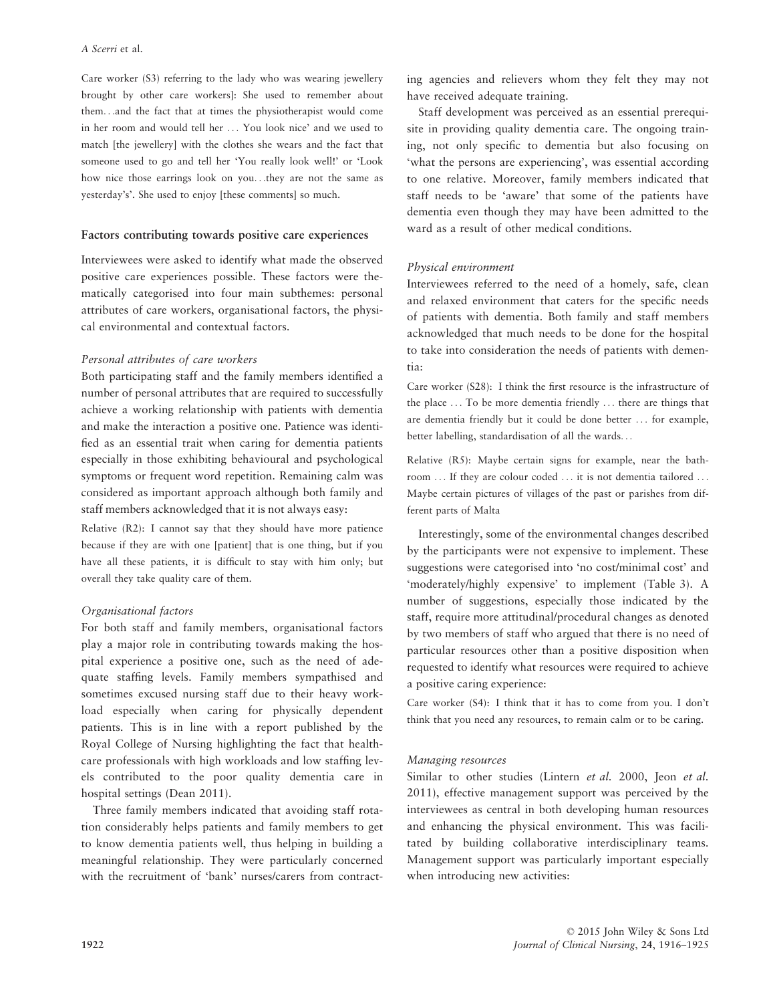#### A Scerri et al.

Care worker (S3) referring to the lady who was wearing jewellery brought by other care workers]: She used to remember about them...and the fact that at times the physiotherapist would come in her room and would tell her ... You look nice' and we used to match [the jewellery] with the clothes she wears and the fact that someone used to go and tell her 'You really look well!' or 'Look how nice those earrings look on you...they are not the same as yesterday's'. She used to enjoy [these comments] so much.

#### Factors contributing towards positive care experiences

Interviewees were asked to identify what made the observed positive care experiences possible. These factors were thematically categorised into four main subthemes: personal attributes of care workers, organisational factors, the physical environmental and contextual factors.

#### Personal attributes of care workers

Both participating staff and the family members identified a number of personal attributes that are required to successfully achieve a working relationship with patients with dementia and make the interaction a positive one. Patience was identified as an essential trait when caring for dementia patients especially in those exhibiting behavioural and psychological symptoms or frequent word repetition. Remaining calm was considered as important approach although both family and staff members acknowledged that it is not always easy:

Relative (R2): I cannot say that they should have more patience because if they are with one [patient] that is one thing, but if you have all these patients, it is difficult to stay with him only; but overall they take quality care of them.

#### Organisational factors

For both staff and family members, organisational factors play a major role in contributing towards making the hospital experience a positive one, such as the need of adequate staffing levels. Family members sympathised and sometimes excused nursing staff due to their heavy workload especially when caring for physically dependent patients. This is in line with a report published by the Royal College of Nursing highlighting the fact that healthcare professionals with high workloads and low staffing levels contributed to the poor quality dementia care in hospital settings (Dean 2011).

Three family members indicated that avoiding staff rotation considerably helps patients and family members to get to know dementia patients well, thus helping in building a meaningful relationship. They were particularly concerned with the recruitment of 'bank' nurses/carers from contracting agencies and relievers whom they felt they may not have received adequate training.

Staff development was perceived as an essential prerequisite in providing quality dementia care. The ongoing training, not only specific to dementia but also focusing on 'what the persons are experiencing', was essential according to one relative. Moreover, family members indicated that staff needs to be 'aware' that some of the patients have dementia even though they may have been admitted to the ward as a result of other medical conditions.

#### Physical environment

Interviewees referred to the need of a homely, safe, clean and relaxed environment that caters for the specific needs of patients with dementia. Both family and staff members acknowledged that much needs to be done for the hospital to take into consideration the needs of patients with dementia:

Care worker (S28): I think the first resource is the infrastructure of the place ... To be more dementia friendly ... there are things that are dementia friendly but it could be done better ... for example, better labelling, standardisation of all the wards...

Relative (R5): Maybe certain signs for example, near the bathroom ... If they are colour coded ... it is not dementia tailored ... Maybe certain pictures of villages of the past or parishes from different parts of Malta

Interestingly, some of the environmental changes described by the participants were not expensive to implement. These suggestions were categorised into 'no cost/minimal cost' and 'moderately/highly expensive' to implement (Table 3). A number of suggestions, especially those indicated by the staff, require more attitudinal/procedural changes as denoted by two members of staff who argued that there is no need of particular resources other than a positive disposition when requested to identify what resources were required to achieve a positive caring experience:

Care worker (S4): I think that it has to come from you. I don't think that you need any resources, to remain calm or to be caring.

#### Managing resources

Similar to other studies (Lintern et al. 2000, Jeon et al. 2011), effective management support was perceived by the interviewees as central in both developing human resources and enhancing the physical environment. This was facilitated by building collaborative interdisciplinary teams. Management support was particularly important especially when introducing new activities: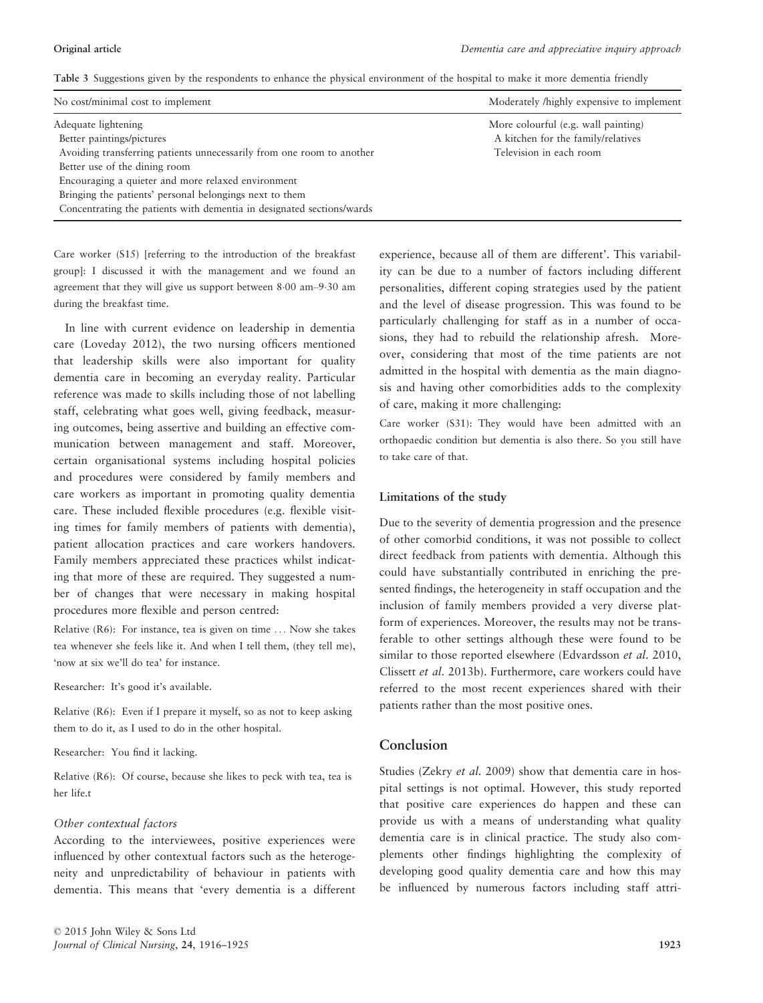|  |  |  |  |  |  |  |  |  |  | Table 3 Suggestions given by the respondents to enhance the physical environment of the hospital to make it more dementia friendly |
|--|--|--|--|--|--|--|--|--|--|------------------------------------------------------------------------------------------------------------------------------------|
|--|--|--|--|--|--|--|--|--|--|------------------------------------------------------------------------------------------------------------------------------------|

| No cost/minimal cost to implement                                                                                                | Moderately /highly expensive to implement                                                            |  |  |
|----------------------------------------------------------------------------------------------------------------------------------|------------------------------------------------------------------------------------------------------|--|--|
| Adequate lightening<br>Better paintings/pictures<br>Avoiding transferring patients unnecessarily from one room to another        | More colourful (e.g. wall painting)<br>A kitchen for the family/relatives<br>Television in each room |  |  |
| Better use of the dining room                                                                                                    |                                                                                                      |  |  |
| Encouraging a quieter and more relaxed environment                                                                               |                                                                                                      |  |  |
| Bringing the patients' personal belongings next to them<br>Concentrating the patients with dementia in designated sections/wards |                                                                                                      |  |  |

Care worker (S15) [referring to the introduction of the breakfast group]: I discussed it with the management and we found an agreement that they will give us support between 800 am–930 am during the breakfast time.

In line with current evidence on leadership in dementia care (Loveday 2012), the two nursing officers mentioned that leadership skills were also important for quality dementia care in becoming an everyday reality. Particular reference was made to skills including those of not labelling staff, celebrating what goes well, giving feedback, measuring outcomes, being assertive and building an effective communication between management and staff. Moreover, certain organisational systems including hospital policies and procedures were considered by family members and care workers as important in promoting quality dementia care. These included flexible procedures (e.g. flexible visiting times for family members of patients with dementia), patient allocation practices and care workers handovers. Family members appreciated these practices whilst indicating that more of these are required. They suggested a number of changes that were necessary in making hospital procedures more flexible and person centred:

Relative (R6): For instance, tea is given on time ... Now she takes tea whenever she feels like it. And when I tell them, (they tell me), 'now at six we'll do tea' for instance.

Researcher: It's good it's available.

Relative (R6): Even if I prepare it myself, so as not to keep asking them to do it, as I used to do in the other hospital.

Researcher: You find it lacking.

Relative (R6): Of course, because she likes to peck with tea, tea is her life.t

#### Other contextual factors

According to the interviewees, positive experiences were influenced by other contextual factors such as the heterogeneity and unpredictability of behaviour in patients with dementia. This means that 'every dementia is a different experience, because all of them are different'. This variability can be due to a number of factors including different personalities, different coping strategies used by the patient and the level of disease progression. This was found to be particularly challenging for staff as in a number of occasions, they had to rebuild the relationship afresh. Moreover, considering that most of the time patients are not admitted in the hospital with dementia as the main diagnosis and having other comorbidities adds to the complexity of care, making it more challenging:

Care worker (S31): They would have been admitted with an orthopaedic condition but dementia is also there. So you still have to take care of that.

### Limitations of the study

Due to the severity of dementia progression and the presence of other comorbid conditions, it was not possible to collect direct feedback from patients with dementia. Although this could have substantially contributed in enriching the presented findings, the heterogeneity in staff occupation and the inclusion of family members provided a very diverse platform of experiences. Moreover, the results may not be transferable to other settings although these were found to be similar to those reported elsewhere (Edvardsson et al. 2010, Clissett et al. 2013b). Furthermore, care workers could have referred to the most recent experiences shared with their patients rather than the most positive ones.

## Conclusion

Studies (Zekry et al. 2009) show that dementia care in hospital settings is not optimal. However, this study reported that positive care experiences do happen and these can provide us with a means of understanding what quality dementia care is in clinical practice. The study also complements other findings highlighting the complexity of developing good quality dementia care and how this may be influenced by numerous factors including staff attri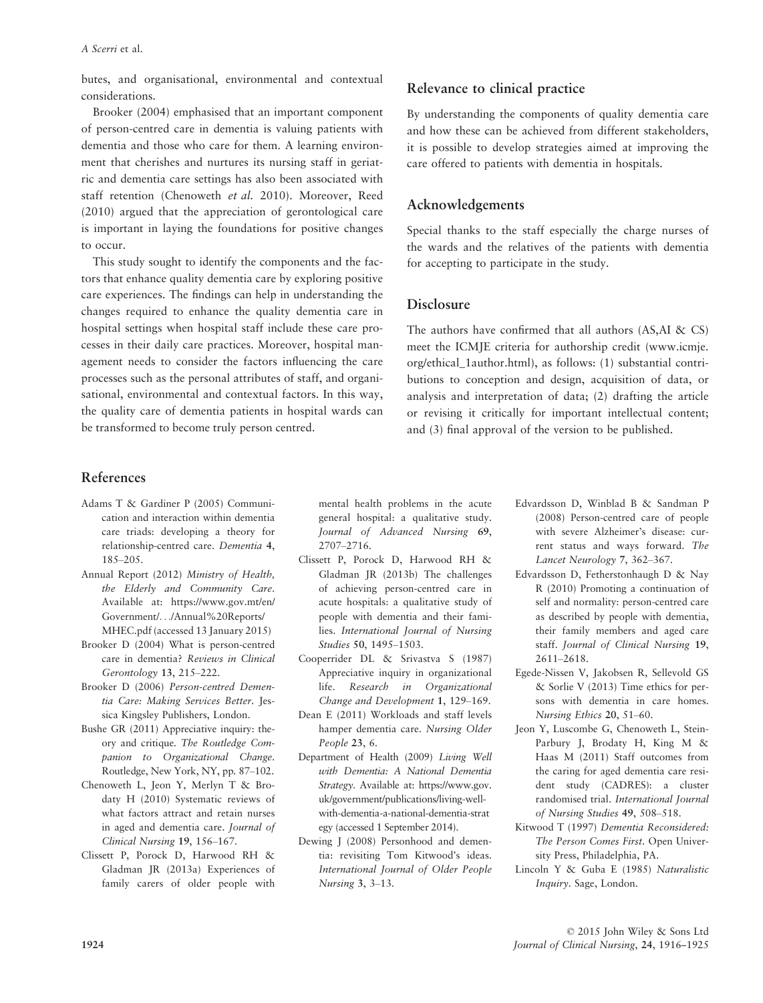butes, and organisational, environmental and contextual considerations.

Brooker (2004) emphasised that an important component of person-centred care in dementia is valuing patients with dementia and those who care for them. A learning environment that cherishes and nurtures its nursing staff in geriatric and dementia care settings has also been associated with staff retention (Chenoweth et al. 2010). Moreover, Reed (2010) argued that the appreciation of gerontological care is important in laying the foundations for positive changes to occur.

This study sought to identify the components and the factors that enhance quality dementia care by exploring positive care experiences. The findings can help in understanding the changes required to enhance the quality dementia care in hospital settings when hospital staff include these care processes in their daily care practices. Moreover, hospital management needs to consider the factors influencing the care processes such as the personal attributes of staff, and organisational, environmental and contextual factors. In this way, the quality care of dementia patients in hospital wards can be transformed to become truly person centred.

## Relevance to clinical practice

By understanding the components of quality dementia care and how these can be achieved from different stakeholders, it is possible to develop strategies aimed at improving the care offered to patients with dementia in hospitals.

## Acknowledgements

Special thanks to the staff especially the charge nurses of the wards and the relatives of the patients with dementia for accepting to participate in the study.

## Disclosure

The authors have confirmed that all authors (AS,AI & CS) meet the ICMJE criteria for authorship credit ([www.icmje.](www.icmje.org/ethical_1author.html) [org/ethical\\_1author.html](www.icmje.org/ethical_1author.html)), as follows: (1) substantial contributions to conception and design, acquisition of data, or analysis and interpretation of data; (2) drafting the article or revising it critically for important intellectual content; and (3) final approval of the version to be published.

## References

- Adams T & Gardiner P (2005) Communication and interaction within dementia care triads: developing a theory for relationship-centred care. Dementia 4, 185–205.
- Annual Report (2012) Ministry of Health, the Elderly and Community Care. Available at: [https://www.gov.mt/en/](https://www.gov.mt/en/Government/.../Annual%20Reports/MHEC.pdf) [Government/](https://www.gov.mt/en/Government/.../Annual%20Reports/MHEC.pdf)...[/Annual%20Reports/](https://www.gov.mt/en/Government/.../Annual%20Reports/MHEC.pdf) [MHEC.pdf](https://www.gov.mt/en/Government/.../Annual%20Reports/MHEC.pdf) (accessed 13 January 2015)
- Brooker D (2004) What is person-centred care in dementia? Reviews in Clinical Gerontology 13, 215–222.
- Brooker D (2006) Person-centred Dementia Care: Making Services Better. Jessica Kingsley Publishers, London.
- Bushe GR (2011) Appreciative inquiry: theory and critique. The Routledge Companion to Organizational Change. Routledge, New York, NY, pp. 87–102.
- Chenoweth L, Jeon Y, Merlyn T & Brodaty H (2010) Systematic reviews of what factors attract and retain nurses in aged and dementia care. Journal of Clinical Nursing 19, 156–167.
- Clissett P, Porock D, Harwood RH & Gladman JR (2013a) Experiences of family carers of older people with

mental health problems in the acute general hospital: a qualitative study. Journal of Advanced Nursing 69, 2707–2716.

- Clissett P, Porock D, Harwood RH & Gladman JR (2013b) The challenges of achieving person-centred care in acute hospitals: a qualitative study of people with dementia and their families. International Journal of Nursing Studies 50, 1495–1503.
- Cooperrider DL & Srivastva S (1987) Appreciative inquiry in organizational life. Research in Organizational Change and Development 1, 129–169.
- Dean E (2011) Workloads and staff levels hamper dementia care. Nursing Older People 23, 6.
- Department of Health (2009) Living Well with Dementia: A National Dementia Strategy. Available at: [https://www.gov.](https://www.gov.uk/government/publications/living-well-with-dementia-a-national-dementia-strategy) [uk/government/publications/living-well](https://www.gov.uk/government/publications/living-well-with-dementia-a-national-dementia-strategy)[with-dementia-a-national-dementia-strat](https://www.gov.uk/government/publications/living-well-with-dementia-a-national-dementia-strategy) [egy](https://www.gov.uk/government/publications/living-well-with-dementia-a-national-dementia-strategy) (accessed 1 September 2014).
- Dewing J (2008) Personhood and dementia: revisiting Tom Kitwood's ideas. International Journal of Older People Nursing 3, 3–13.
- Edvardsson D, Winblad B & Sandman P (2008) Person-centred care of people with severe Alzheimer's disease: current status and ways forward. The Lancet Neurology 7, 362–367.
- Edvardsson D, Fetherstonhaugh D & Nay R (2010) Promoting a continuation of self and normality: person-centred care as described by people with dementia, their family members and aged care staff. Journal of Clinical Nursing 19, 2611–2618.
- Egede-Nissen V, Jakobsen R, Sellevold GS & Sorlie V (2013) Time ethics for persons with dementia in care homes. Nursing Ethics 20, 51–60.
- Jeon Y, Luscombe G, Chenoweth L, Stein-Parbury J, Brodaty H, King M & Haas M (2011) Staff outcomes from the caring for aged dementia care resident study (CADRES): a cluster randomised trial. International Journal of Nursing Studies 49, 508–518.
- Kitwood T (1997) Dementia Reconsidered: The Person Comes First. Open University Press, Philadelphia, PA.
- Lincoln Y & Guba E (1985) Naturalistic Inquiry. Sage, London.